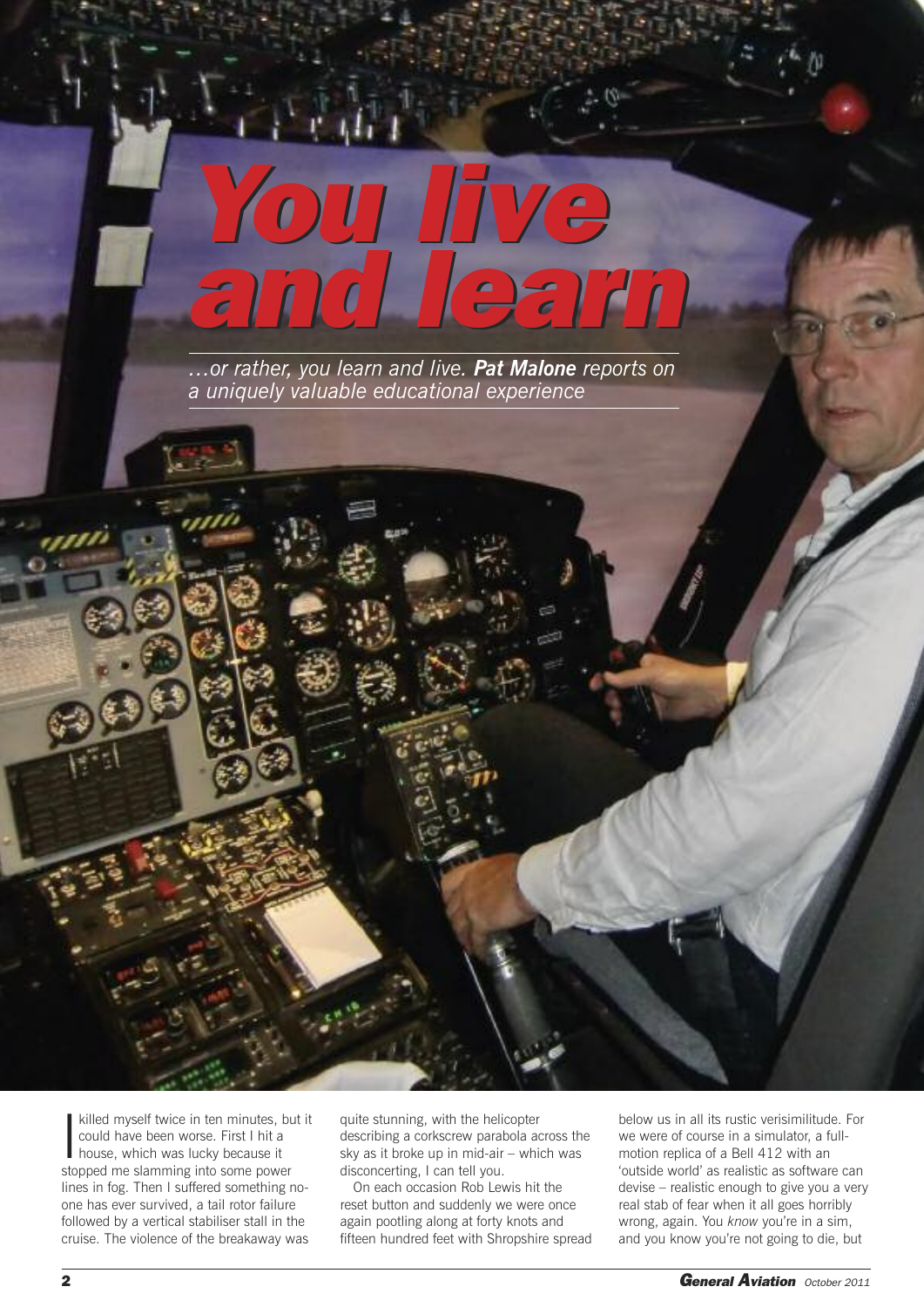## *You live and learn You live and learn*

*…or rather, you learn and live. Pat Malone reports on a uniquely valuable educational experience*

killed myself twice in ten minutes,<br>
could have been worse. First I hit a<br>
house, which was lucky because it<br>
stepped me slamming into some now killed myself twice in ten minutes, but it could have been worse. First I hit a stopped me slamming into some power lines in fog. Then I suffered something noone has ever survived, a tail rotor failure followed by a vertical stabiliser stall in the cruise. The violence of the breakaway was

quite stunning, with the helicopter describing a corkscrew parabola across the sky as it broke up in mid-air – which was disconcerting, I can tell you.

On each occasion Rob Lewis hit the reset button and suddenly we were once again pootling along at forty knots and fifteen hundred feet with Shropshire spread below us in all its rustic verisimilitude. For we were of course in a simulator, a fullmotion replica of a Bell 412 with an 'outside world' as realistic as software can devise – realistic enough to give you a very real stab of fear when it all goes horribly wrong, again. You *know* you're in a sim, and you know you're not going to die, but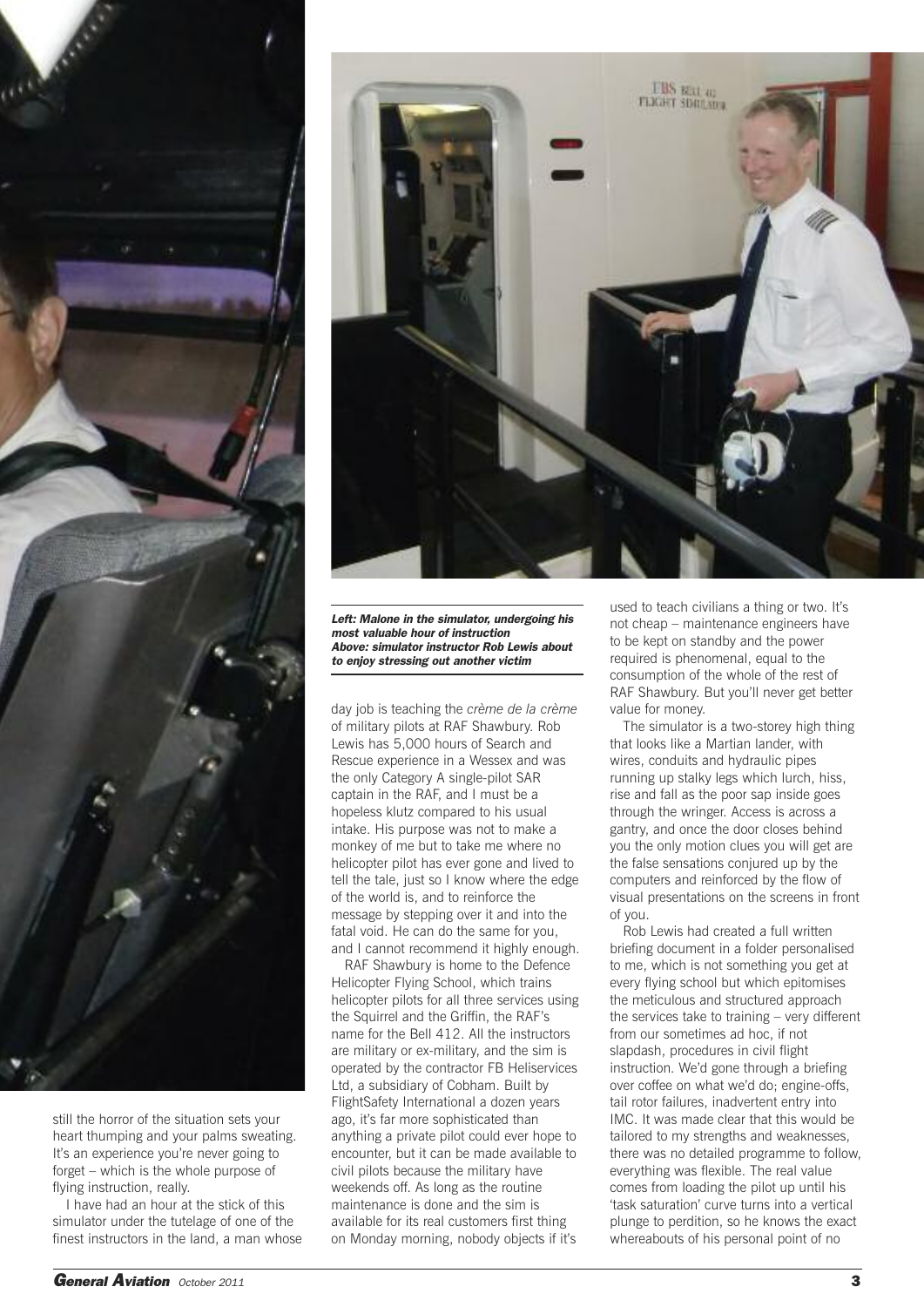

still the horror of the situation sets your heart thumping and your palms sweating. It's an experience you're never going to forget – which is the whole purpose of flying instruction, really.

I have had an hour at the stick of this simulator under the tutelage of one of the finest instructors in the land, a man whose



*Left: Malone in the simulator, undergoing his most valuable hour of instruction Above: simulator instructor Rob Lewis about to enjoy stressing out another victim*

day job is teaching the *crème de la crème* of military pilots at RAF Shawbury. Rob Lewis has 5,000 hours of Search and Rescue experience in a Wessex and was the only Category A single-pilot SAR captain in the RAF, and I must be a hopeless klutz compared to his usual intake. His purpose was not to make a monkey of me but to take me where no helicopter pilot has ever gone and lived to tell the tale, just so I know where the edge of the world is, and to reinforce the message by stepping over it and into the fatal void. He can do the same for you, and I cannot recommend it highly enough.

RAF Shawbury is home to the Defence Helicopter Flying School, which trains helicopter pilots for all three services using the Squirrel and the Griffin, the RAF's name for the Bell 412. All the instructors are military or ex-military, and the sim is operated by the contractor FB Heliservices Ltd, a subsidiary of Cobham. Built by FlightSafety International a dozen years ago, it's far more sophisticated than anything a private pilot could ever hope to encounter, but it can be made available to civil pilots because the military have weekends off. As long as the routine maintenance is done and the sim is available for its real customers first thing on Monday morning, nobody objects if it's

used to teach civilians a thing or two. It's not cheap – maintenance engineers have to be kept on standby and the power required is phenomenal, equal to the consumption of the whole of the rest of RAF Shawbury. But you'll never get better value for money.

The simulator is a two-storey high thing that looks like a Martian lander, with wires, conduits and hydraulic pipes running up stalky legs which lurch, hiss, rise and fall as the poor sap inside goes through the wringer. Access is across a gantry, and once the door closes behind you the only motion clues you will get are the false sensations conjured up by the computers and reinforced by the flow of visual presentations on the screens in front of you.

Rob Lewis had created a full written briefing document in a folder personalised to me, which is not something you get at every flying school but which epitomises the meticulous and structured approach the services take to training – very different from our sometimes ad hoc, if not slapdash, procedures in civil flight instruction. We'd gone through a briefing over coffee on what we'd do; engine-offs, tail rotor failures, inadvertent entry into IMC. It was made clear that this would be tailored to my strengths and weaknesses, there was no detailed programme to follow, everything was flexible. The real value comes from loading the pilot up until his 'task saturation' curve turns into a vertical plunge to perdition, so he knows the exact whereabouts of his personal point of no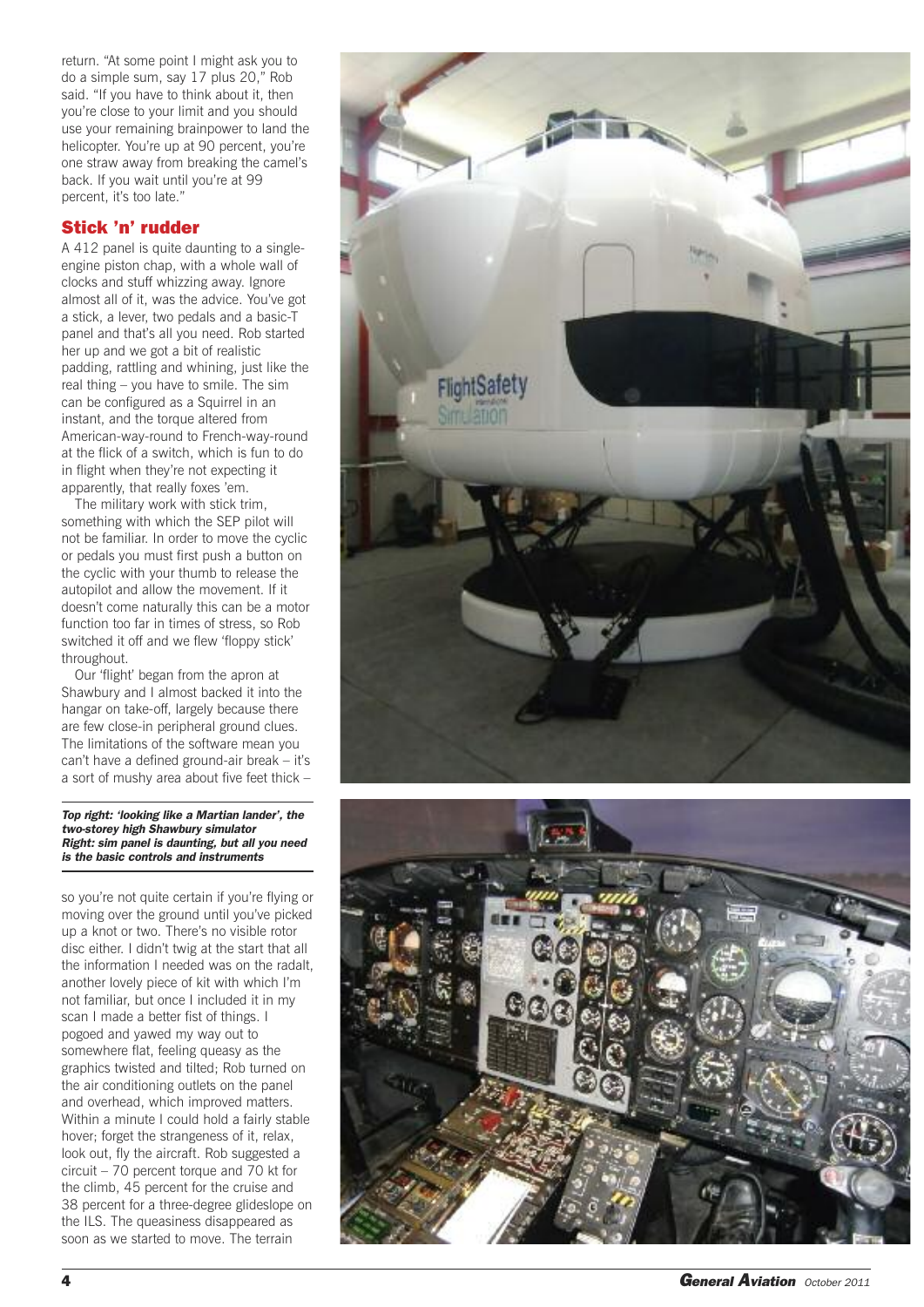return. "At some point I might ask you to do a simple sum, say 17 plus 20," Rob said. "If you have to think about it, then you're close to your limit and you should use your remaining brainpower to land the helicopter. You're up at 90 percent, you're one straw away from breaking the camel's back. If you wait until you're at 99 percent, it's too late."

## **Stick 'n' rudder**

A 412 panel is quite daunting to a singleengine piston chap, with a whole wall of clocks and stuff whizzing away. Ignore almost all of it, was the advice. You've got a stick, a lever, two pedals and a basic-T panel and that's all you need. Rob started her up and we got a bit of realistic padding, rattling and whining, just like the real thing - you have to smile. The sim can be configured as a Squirrel in an instant, and the torque altered from American-way-round to French-way-round at the flick of a switch, which is fun to do in flight when they're not expecting it apparently, that really foxes 'em.

The military work with stick trim, something with which the SEP pilot will not be familiar. In order to move the cyclic or pedals you must first push a button on the cyclic with your thumb to release the autopilot and allow the movement. If it doesn't come naturally this can be a motor function too far in times of stress, so Rob switched it off and we flew 'floppy stick' throughout.

Our 'flight' began from the apron at Shawbury and I almost backed it into the hangar on take-off, largely because there are few close-in peripheral ground clues. The limitations of the software mean you can't have a defined ground-air break - it's a sort of mushy area about five feet thick -

*Top righ t: 'looking like a Ma r tian lan de r ', the t wo-s torey h igh Sha wb u ry sim ula tor Right:* sim panel is daunting, but all you need *is* the basic controls and instruments

so you're not quite certain if you're flying or moving over the ground until you've picked up a knot or two. There's no visible rotor disc either. I didn't twig at the start that all the information I needed was on the radalt, another lovely piece of kit with which I'm not familiar, but once I included it in my scan I made a better fist of things. I pogoed and yawed my way out to somewhere flat, feeling queasy as the graphics twisted and tilted; Rob turned on the air conditioning outlets on the panel and overhead, which improved matters. Within a minute I could hold a fairly stable hover; forget the strangeness of it, relax, look out, fly the aircraft. Rob suggested a circuit – 70 percent torque and 70 kt for the climb, 45 percent for the cruise and 38 percent for a three-degree glideslope on the ILS. The queasiness disappeared as soon as we started to move. The terrain



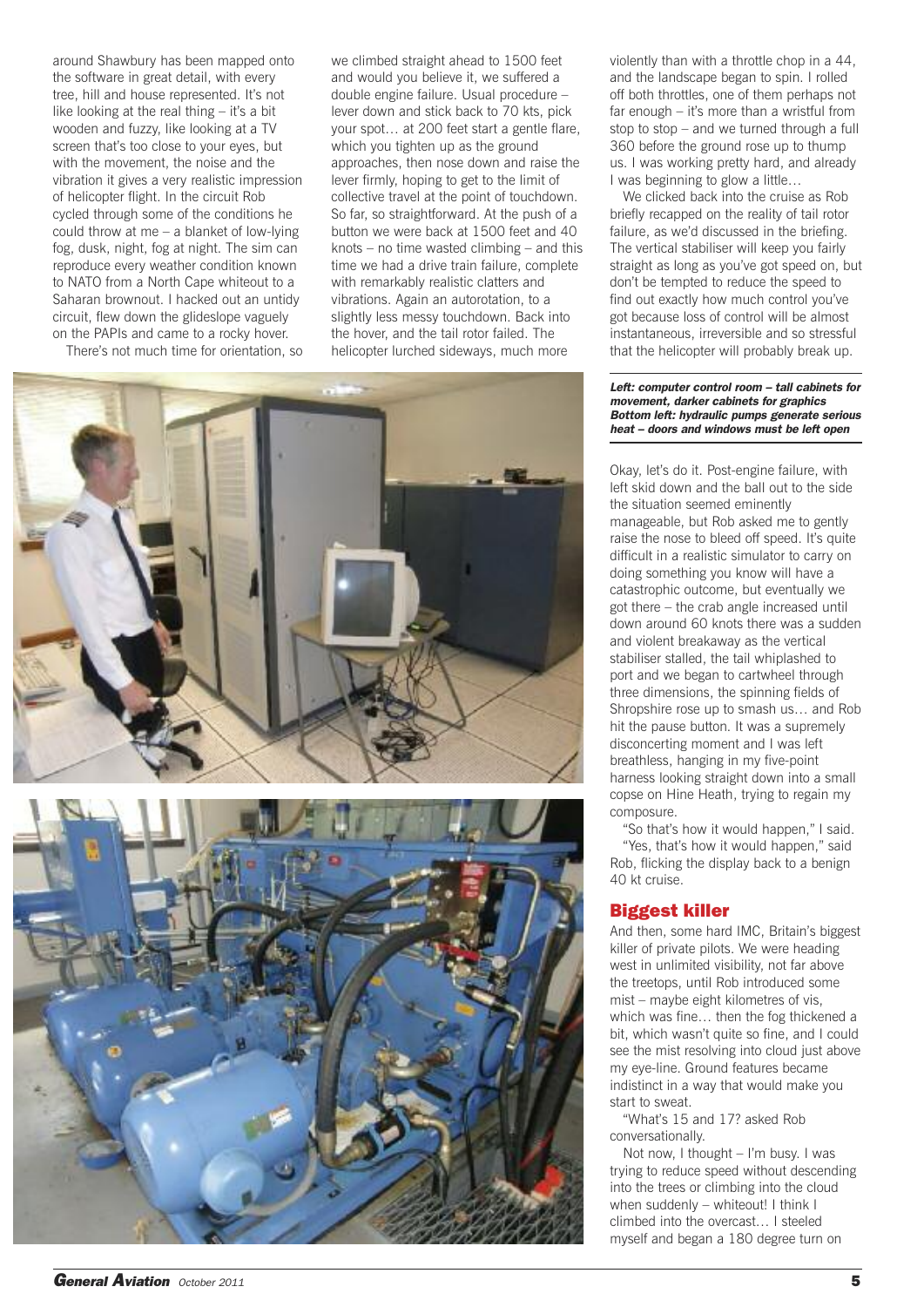around Shawbury has been mapped onto the software in great detail, with every tree, hill and house represented. It's not like looking at the real thing – it's a bit wooden and fuzzy, like looking at a TV screen that's too close to your eyes, but with the movement, the noise and the vibration it gives a very realistic impression of helicopter flight. In the circuit Rob cycled through some of the conditions he could throw at me – a blanket of low-lying fog, dusk, night, fog at night. The sim can reproduce every weather condition known to NATO from a North Cape whiteout to a Saharan brownout. I hacked out an untidy circuit, flew down the glideslope vaguely on the PAPIs and came to a rocky hover.

There's not much time for orientation, so

we climbed straight ahead to 1500 feet and would you believe it, we suffered a double engine failure. Usual procedure – lever down and stick back to 70 kts, pick your spot… at 200 feet start a gentle flare, which you tighten up as the ground approaches, then nose down and raise the lever firmly, hoping to get to the limit of collective travel at the point of touchdown. So far, so straightforward. At the push of a button we were back at 1500 feet and 40 knots – no time wasted climbing – and this time we had a drive train failure, complete with remarkably realistic clatters and vibrations. Again an autorotation, to a slightly less messy touchdown. Back into the hover, and the tail rotor failed. The helicopter lurched sideways, much more





*General Aviation October <sup>2011</sup>* **5**

violently than with a throttle chop in a 44, and the landscape began to spin. I rolled off both throttles, one of them perhaps not far enough – it's more than a wristful from stop to stop – and we turned through a full 360 before the ground rose up to thump us. I was working pretty hard, and already I was beginning to glow a little…

We clicked back into the cruise as Rob briefly recapped on the reality of tail rotor failure, as we'd discussed in the briefing. The vertical stabiliser will keep you fairly straight as long as you've got speed on, but don't be tempted to reduce the speed to find out exactly how much control you've got because loss of control will be almost instantaneous, irreversible and so stressful that the helicopter will probably break up.

*Left: computer control room – tall cabinets for movement, darker cabinets for graphics Bottom left: hydraulic pumps generate serious heat – doors and windows must be left open*

Okay, let's do it. Post-engine failure, with left skid down and the ball out to the side the situation seemed eminently manageable, but Rob asked me to gently raise the nose to bleed off speed. It's quite difficult in a realistic simulator to carry on doing something you know will have a catastrophic outcome, but eventually we got there – the crab angle increased until down around 60 knots there was a sudden and violent breakaway as the vertical stabiliser stalled, the tail whiplashed to port and we began to cartwheel through three dimensions, the spinning fields of Shropshire rose up to smash us… and Rob hit the pause button. It was a supremely disconcerting moment and I was left breathless, hanging in my five-point harness looking straight down into a small copse on Hine Heath, trying to regain my composure.

"So that's how it would happen," I said. "Yes, that's how it would happen," said Rob, flicking the display back to a benign 40 kt cruise.

## **Biggest killer**

And then, some hard IMC, Britain's biggest killer of private pilots. We were heading west in unlimited visibility, not far above the treetops, until Rob introduced some mist – maybe eight kilometres of vis, which was fine… then the fog thickened a bit, which wasn't quite so fine, and I could see the mist resolving into cloud just above my eye-line. Ground features became indistinct in a way that would make you start to sweat.

"What's 15 and 17? asked Rob conversationally.

Not now, I thought – I'm busy. I was trying to reduce speed without descending into the trees or climbing into the cloud when suddenly – whiteout! I think I climbed into the overcast… I steeled myself and began a 180 degree turn on